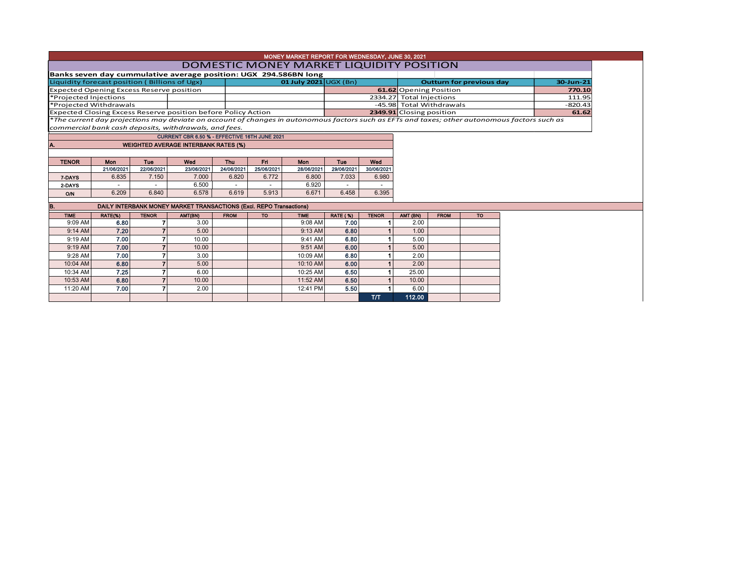|                                                                                  |                     |                     |                                                                                                                                               |                     |                     | MONEY MARKET REPORT FOR WEDNESDAY, JUNE 30, 2021<br><b>DOMESTIC MONEY MARKET LIQUIDITY POSITION</b> |                 |              |                          |                                              |     |       |           |  |
|----------------------------------------------------------------------------------|---------------------|---------------------|-----------------------------------------------------------------------------------------------------------------------------------------------|---------------------|---------------------|-----------------------------------------------------------------------------------------------------|-----------------|--------------|--------------------------|----------------------------------------------|-----|-------|-----------|--|
|                                                                                  |                     |                     | Banks seven day cummulative average position: UGX 294.586BN long                                                                              |                     |                     |                                                                                                     |                 |              |                          |                                              |     |       |           |  |
| Liquidity forecast position (Billions of Ugx)                                    |                     |                     |                                                                                                                                               |                     |                     | 01 July 2021 $\cup$ GX (Bn)                                                                         |                 |              |                          | <b>Outturn for previous day</b><br>30-Jun-21 |     |       |           |  |
| <b>Expected Opening Excess Reserve position</b>                                  |                     |                     |                                                                                                                                               |                     |                     |                                                                                                     |                 |              |                          | 61.62 Opening Position<br>770.10             |     |       |           |  |
| *Projected Injections                                                            |                     |                     |                                                                                                                                               |                     |                     |                                                                                                     |                 |              |                          | 2334.27 Total Injections<br>111.95           |     |       |           |  |
| *Projected Withdrawals                                                           |                     |                     |                                                                                                                                               |                     |                     |                                                                                                     |                 |              | -45.98 Total Withdrawals |                                              |     |       | $-820.43$ |  |
|                                                                                  |                     |                     | <b>Expected Closing Excess Reserve position before Policy Action</b>                                                                          |                     |                     |                                                                                                     |                 |              | 2349.91 Closing position |                                              |     | 61.62 |           |  |
|                                                                                  |                     |                     | *The current day projections may deviate on account of changes in autonomous factors such as EFTs and taxes; other autonomous factors such as |                     |                     |                                                                                                     |                 |              |                          |                                              |     |       |           |  |
|                                                                                  |                     |                     | commercial bank cash deposits, withdrawals, and fees.                                                                                         |                     |                     |                                                                                                     |                 |              |                          |                                              |     |       |           |  |
| CURRENT CBR 6.50 % - EFFECTIVE 16TH JUNE 2021                                    |                     |                     |                                                                                                                                               |                     |                     |                                                                                                     |                 |              |                          |                                              |     |       |           |  |
| A.                                                                               |                     |                     | <b>WEIGHTED AVERAGE INTERBANK RATES (%)</b>                                                                                                   |                     |                     |                                                                                                     |                 |              |                          |                                              |     |       |           |  |
|                                                                                  |                     |                     |                                                                                                                                               |                     |                     |                                                                                                     |                 |              |                          |                                              |     |       |           |  |
| <b>TENOR</b>                                                                     | Mon                 | Tue                 | Wed                                                                                                                                           | <b>Thu</b>          | Fri <sub>1</sub>    | <b>Mon</b>                                                                                          | Tue             | Wed          |                          |                                              |     |       |           |  |
|                                                                                  | 21/06/2021<br>6.835 | 22/06/2021<br>7.150 | 23/06/2021<br>7.000                                                                                                                           | 24/06/2021<br>6.820 | 25/06/2021<br>6.772 | 28/06/2021<br>6.800                                                                                 | 29/06/2021      | 30/06/2021   |                          |                                              |     |       |           |  |
| 7-DAYS                                                                           |                     |                     | 6.500                                                                                                                                         |                     |                     | 6.920                                                                                               | 7.033           | 6.980        |                          |                                              |     |       |           |  |
| 2-DAYS                                                                           | 6.209               | 6.840               | 6.578                                                                                                                                         | 6.619               | 5.913               | 6.671                                                                                               | 6.458           | 6.395        |                          |                                              |     |       |           |  |
| <b>O/N</b>                                                                       |                     |                     |                                                                                                                                               |                     |                     |                                                                                                     |                 |              |                          |                                              |     |       |           |  |
| <b>DAILY INTERBANK MONEY MARKET TRANSACTIONS (Excl. REPO Transactions)</b><br>B. |                     |                     |                                                                                                                                               |                     |                     |                                                                                                     |                 |              |                          |                                              |     |       |           |  |
| <b>TIME</b>                                                                      | RATE(%)             | <b>TENOR</b>        | AMT(BN)                                                                                                                                       | <b>FROM</b>         | <b>TO</b>           | <b>TIME</b>                                                                                         | <b>RATE (%)</b> | <b>TENOR</b> | AMT (BN)                 | <b>FROM</b>                                  | TO: |       |           |  |
| 9:09 AM                                                                          | 6.80                |                     | 3.00                                                                                                                                          |                     |                     | 9:08 AM                                                                                             | 7.00            |              | 2.00                     |                                              |     |       |           |  |
| 9:14 AM                                                                          | 7.20                |                     | 5.00                                                                                                                                          |                     |                     | 9:13 AM                                                                                             | 6.80            |              | 1.00                     |                                              |     |       |           |  |
| 9:19 AM                                                                          | 7.00                |                     | 10.00                                                                                                                                         |                     |                     | 9:41 AM                                                                                             | 6.80            |              | 5.00                     |                                              |     |       |           |  |
| 9:19 AM                                                                          | 7.00                |                     | 10.00                                                                                                                                         |                     |                     | 9:51 AM                                                                                             | 6.00            |              | 5.00                     |                                              |     |       |           |  |
| 9:28 AM                                                                          | 7.00                |                     | 3.00                                                                                                                                          |                     |                     | 10:09 AM                                                                                            | 6.80            |              | 2.00                     |                                              |     |       |           |  |
| 10:04 AM                                                                         | 6.80                |                     | 5.00                                                                                                                                          |                     |                     | 10:10 AM                                                                                            | 6.00            |              | 2.00                     |                                              |     |       |           |  |
| 10:34 AM                                                                         | 7.25                |                     | 6.00                                                                                                                                          |                     |                     | 10:25 AM                                                                                            | 6.50            |              | 25.00                    |                                              |     |       |           |  |
| 10:53 AM                                                                         | 6.80                |                     | 10.00                                                                                                                                         |                     |                     | 11:52 AM                                                                                            | 6.50            |              | 10.00                    |                                              |     |       |           |  |
| 11:20 AM                                                                         | 7.00                |                     | 2.00                                                                                                                                          |                     |                     | 12:41 PM                                                                                            | 5.50            |              | 6.00                     |                                              |     |       |           |  |

T/T 112.00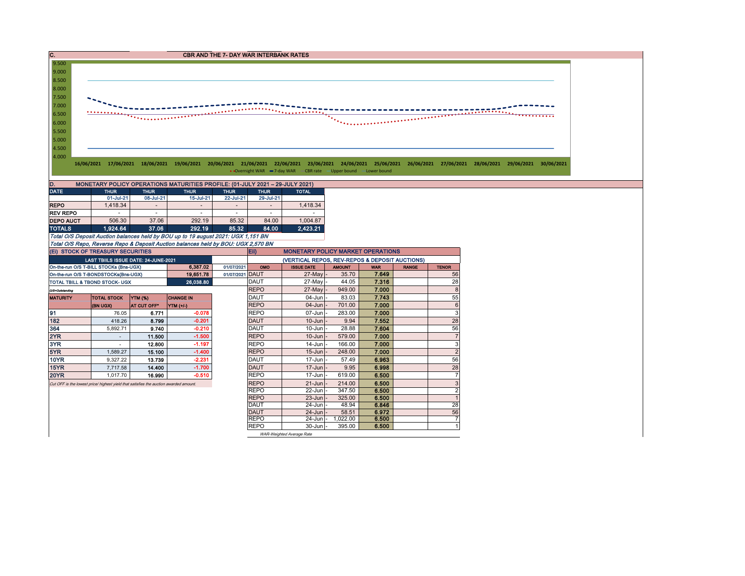

WAR-Weighted Average Rate